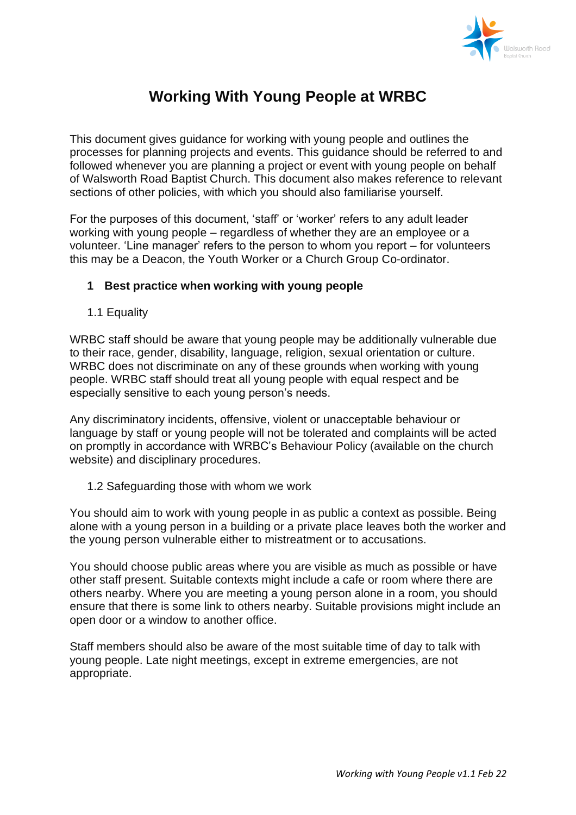

# **Working With Young People at WRBC**

This document gives guidance for working with young people and outlines the processes for planning projects and events. This guidance should be referred to and followed whenever you are planning a project or event with young people on behalf of Walsworth Road Baptist Church. This document also makes reference to relevant sections of other policies, with which you should also familiarise yourself.

For the purposes of this document, 'staff' or 'worker' refers to any adult leader working with young people – regardless of whether they are an employee or a volunteer. 'Line manager' refers to the person to whom you report – for volunteers this may be a Deacon, the Youth Worker or a Church Group Co-ordinator.

# **1 Best practice when working with young people**

1.1 Equality

WRBC staff should be aware that young people may be additionally vulnerable due to their race, gender, disability, language, religion, sexual orientation or culture. WRBC does not discriminate on any of these grounds when working with young people. WRBC staff should treat all young people with equal respect and be especially sensitive to each young person's needs.

Any discriminatory incidents, offensive, violent or unacceptable behaviour or language by staff or young people will not be tolerated and complaints will be acted on promptly in accordance with WRBC's Behaviour Policy (available on the church website) and disciplinary procedures.

1.2 Safeguarding those with whom we work

You should aim to work with young people in as public a context as possible. Being alone with a young person in a building or a private place leaves both the worker and the young person vulnerable either to mistreatment or to accusations.

You should choose public areas where you are visible as much as possible or have other staff present. Suitable contexts might include a cafe or room where there are others nearby. Where you are meeting a young person alone in a room, you should ensure that there is some link to others nearby. Suitable provisions might include an open door or a window to another office.

Staff members should also be aware of the most suitable time of day to talk with young people. Late night meetings, except in extreme emergencies, are not appropriate.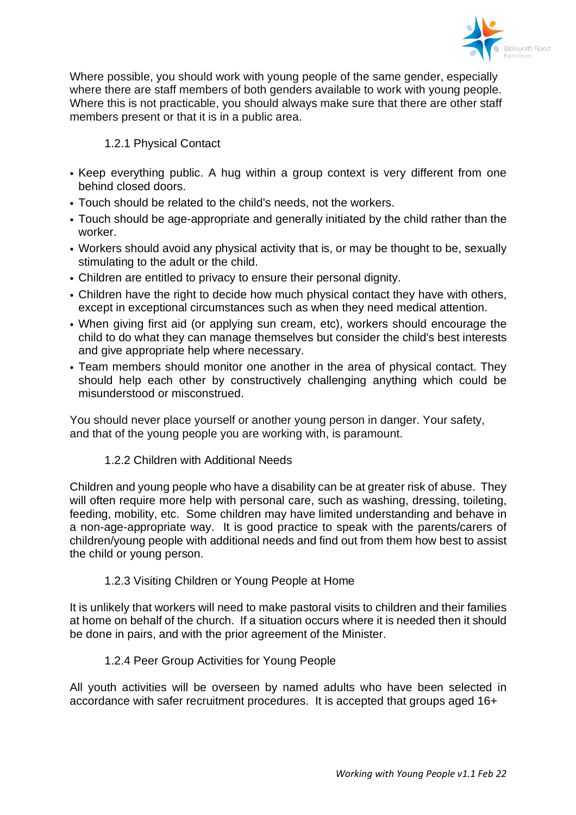

Where possible, you should work with young people of the same gender, especially where there are staff members of both genders available to work with young people. Where this is not practicable, you should always make sure that there are other staff members present or that it is in a public area.

# 1.2.1 Physical Contact

- Keep everything public. A hug within a group context is very different from one behind closed doors.
- Touch should be related to the child's needs, not the workers.
- Touch should be age-appropriate and generally initiated by the child rather than the worker.
- Workers should avoid any physical activity that is, or may be thought to be, sexually stimulating to the adult or the child.
- Children are entitled to privacy to ensure their personal dignity.
- Children have the right to decide how much physical contact they have with others, except in exceptional circumstances such as when they need medical attention.
- When giving first aid (or applying sun cream, etc), workers should encourage the child to do what they can manage themselves but consider the child's best interests and give appropriate help where necessary.
- Team members should monitor one another in the area of physical contact. They should help each other by constructively challenging anything which could be misunderstood or misconstrued.

You should never place yourself or another young person in danger. Your safety, and that of the young people you are working with, is paramount.

# 1.2.2 Children with Additional Needs

Children and young people who have a disability can be at greater risk of abuse. They will often require more help with personal care, such as washing, dressing, toileting, feeding, mobility, etc. Some children may have limited understanding and behave in a non-age-appropriate way. It is good practice to speak with the parents/carers of children/young people with additional needs and find out from them how best to assist the child or young person.

# 1.2.3 Visiting Children or Young People at Home

It is unlikely that workers will need to make pastoral visits to children and their families at home on behalf of the church. If a situation occurs where it is needed then it should be done in pairs, and with the prior agreement of the Minister.

# 1.2.4 Peer Group Activities for Young People

All youth activities will be overseen by named adults who have been selected in accordance with safer recruitment procedures. It is accepted that groups aged 16+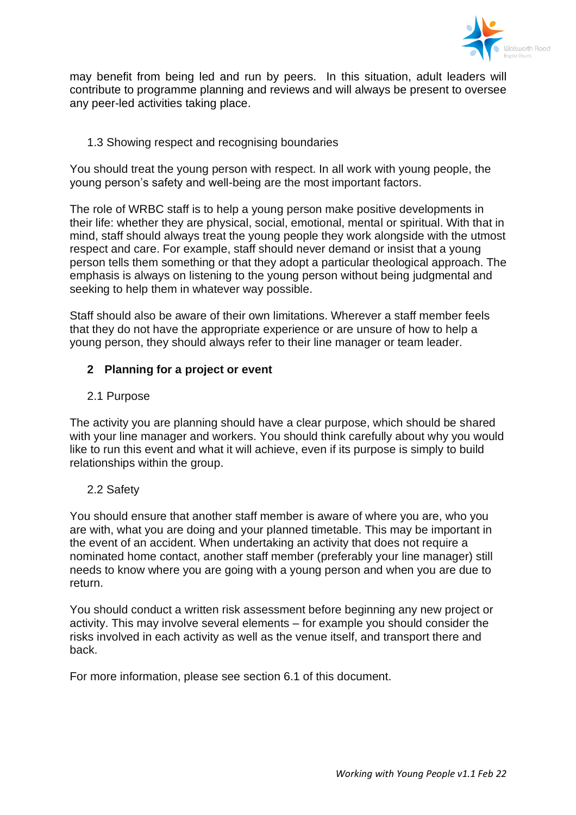

may benefit from being led and run by peers. In this situation, adult leaders will contribute to programme planning and reviews and will always be present to oversee any peer-led activities taking place.

# 1.3 Showing respect and recognising boundaries

You should treat the young person with respect. In all work with young people, the young person's safety and well-being are the most important factors.

The role of WRBC staff is to help a young person make positive developments in their life: whether they are physical, social, emotional, mental or spiritual. With that in mind, staff should always treat the young people they work alongside with the utmost respect and care. For example, staff should never demand or insist that a young person tells them something or that they adopt a particular theological approach. The emphasis is always on listening to the young person without being judgmental and seeking to help them in whatever way possible.

Staff should also be aware of their own limitations. Wherever a staff member feels that they do not have the appropriate experience or are unsure of how to help a young person, they should always refer to their line manager or team leader.

# **2 Planning for a project or event**

# 2.1 Purpose

The activity you are planning should have a clear purpose, which should be shared with your line manager and workers. You should think carefully about why you would like to run this event and what it will achieve, even if its purpose is simply to build relationships within the group.

# 2.2 Safety

You should ensure that another staff member is aware of where you are, who you are with, what you are doing and your planned timetable. This may be important in the event of an accident. When undertaking an activity that does not require a nominated home contact, another staff member (preferably your line manager) still needs to know where you are going with a young person and when you are due to return.

You should conduct a written risk assessment before beginning any new project or activity. This may involve several elements – for example you should consider the risks involved in each activity as well as the venue itself, and transport there and back.

For more information, please see section 6.1 of this document.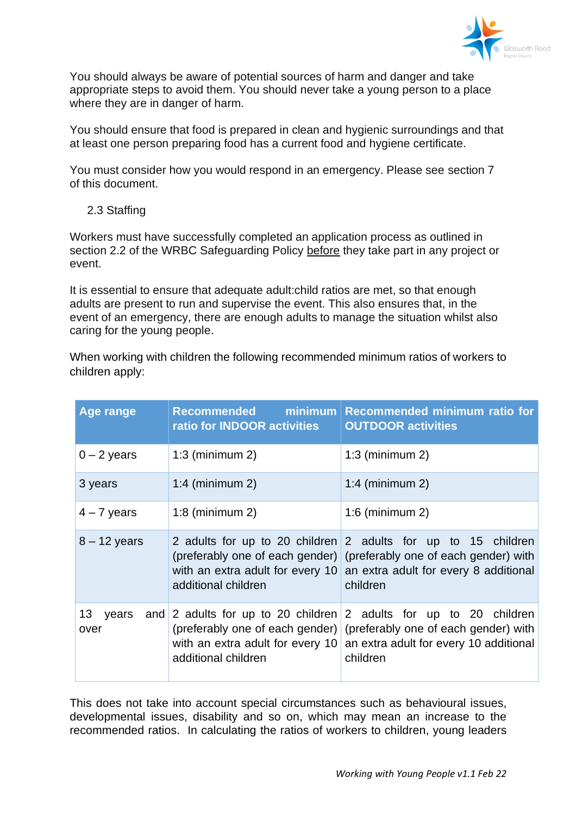

You should always be aware of potential sources of harm and danger and take appropriate steps to avoid them. You should never take a young person to a place where they are in danger of harm.

You should ensure that food is prepared in clean and hygienic surroundings and that at least one person preparing food has a current food and hygiene certificate.

You must consider how you would respond in an emergency. Please see section 7 of this document.

2.3 Staffing

Workers must have successfully completed an application process as outlined in section 2.2 of the WRBC Safeguarding Policy before they take part in any project or event.

It is essential to ensure that adequate adult:child ratios are met, so that enough adults are present to run and supervise the event. This also ensures that, in the event of an emergency, there are enough adults to manage the situation whilst also caring for the young people.

When working with children the following recommended minimum ratios of workers to children apply:

| Age range                        | Recommended minimum<br>ratio for INDOOR activities | <b>Recommended minimum ratio for</b><br><b>OUTDOOR activities</b>                                                                                                                                                                  |  |  |
|----------------------------------|----------------------------------------------------|------------------------------------------------------------------------------------------------------------------------------------------------------------------------------------------------------------------------------------|--|--|
| $0 - 2$ years                    | $1:3$ (minimum 2)                                  | $1:3$ (minimum 2)                                                                                                                                                                                                                  |  |  |
| 3 years                          | $1:4$ (minimum 2)                                  | $1:4$ (minimum 2)                                                                                                                                                                                                                  |  |  |
| $4 - 7$ years                    | $1:8$ (minimum 2)                                  | $1:6$ (minimum 2)                                                                                                                                                                                                                  |  |  |
| $8 - 12$ years                   | additional children                                | 2 adults for up to 20 children 2 adults for up to 15 children<br>(preferably one of each gender) (preferably one of each gender) with<br>with an extra adult for every 10 an extra adult for every 8 additional<br>children        |  |  |
| 13 <sup>°</sup><br>years<br>over | additional children                                | and 2 adults for up to 20 children $2$ adults for up to 20 children<br>(preferably one of each gender) (preferably one of each gender) with<br>with an extra adult for every 10 an extra adult for every 10 additional<br>children |  |  |

This does not take into account special circumstances such as behavioural issues, developmental issues, disability and so on, which may mean an increase to the recommended ratios. In calculating the ratios of workers to children, young leaders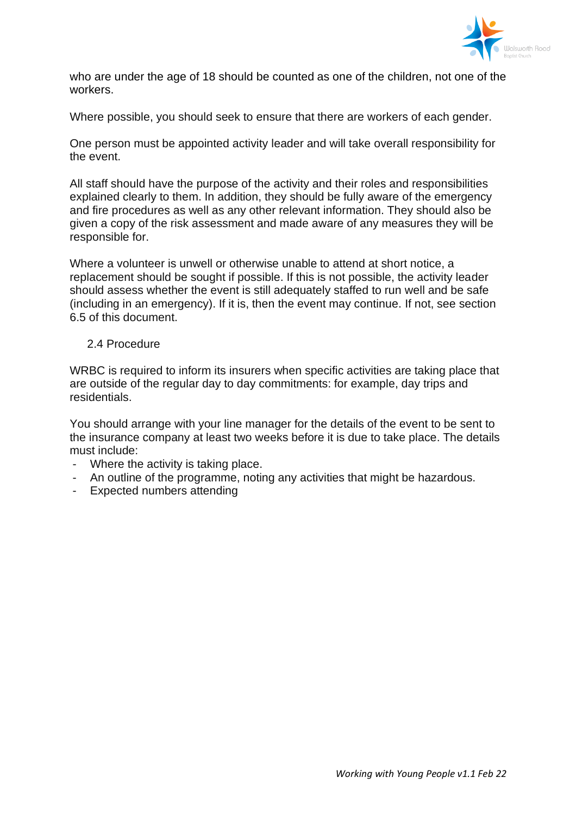

who are under the age of 18 should be counted as one of the children, not one of the workers.

Where possible, you should seek to ensure that there are workers of each gender.

One person must be appointed activity leader and will take overall responsibility for the event.

All staff should have the purpose of the activity and their roles and responsibilities explained clearly to them. In addition, they should be fully aware of the emergency and fire procedures as well as any other relevant information. They should also be given a copy of the risk assessment and made aware of any measures they will be responsible for.

Where a volunteer is unwell or otherwise unable to attend at short notice, a replacement should be sought if possible. If this is not possible, the activity leader should assess whether the event is still adequately staffed to run well and be safe (including in an emergency). If it is, then the event may continue. If not, see section 6.5 of this document.

### 2.4 Procedure

WRBC is required to inform its insurers when specific activities are taking place that are outside of the regular day to day commitments: for example, day trips and residentials.

You should arrange with your line manager for the details of the event to be sent to the insurance company at least two weeks before it is due to take place. The details must include:

- Where the activity is taking place.
- An outline of the programme, noting any activities that might be hazardous.
- Expected numbers attending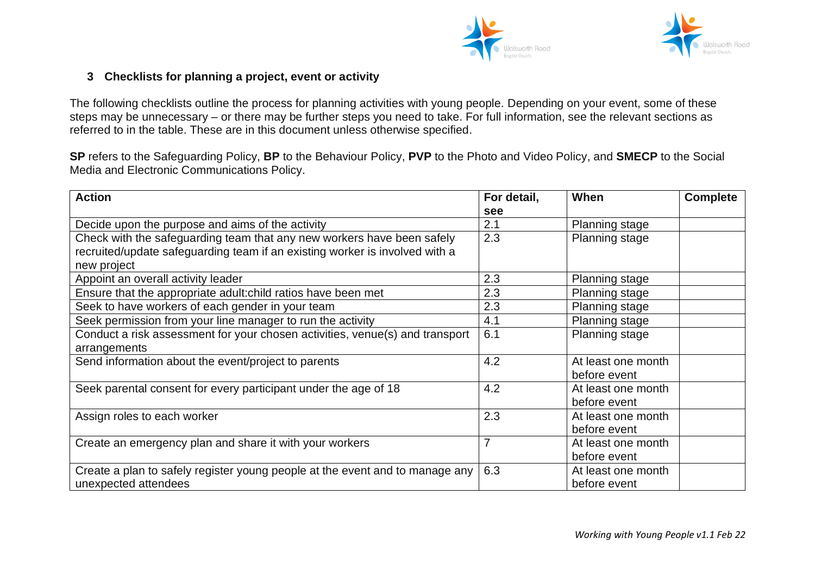



# **3 Checklists for planning a project, event or activity**

The following checklists outline the process for planning activities with young people. Depending on your event, some of these steps may be unnecessary – or there may be further steps you need to take. For full information, see the relevant sections as referred to in the table. These are in this document unless otherwise specified.

**SP** refers to the Safeguarding Policy, **BP** to the Behaviour Policy, **PVP** to the Photo and Video Policy, and **SMECP** to the Social Media and Electronic Communications Policy.

| <b>Action</b>                                                                | For detail, | When                  | <b>Complete</b> |
|------------------------------------------------------------------------------|-------------|-----------------------|-----------------|
|                                                                              | see         |                       |                 |
| Decide upon the purpose and aims of the activity                             | 2.1         | Planning stage        |                 |
| Check with the safeguarding team that any new workers have been safely       | 2.3         | <b>Planning stage</b> |                 |
| recruited/update safeguarding team if an existing worker is involved with a  |             |                       |                 |
| new project                                                                  |             |                       |                 |
| Appoint an overall activity leader                                           | 2.3         | <b>Planning stage</b> |                 |
| Ensure that the appropriate adult: child ratios have been met                | 2.3         | <b>Planning stage</b> |                 |
| Seek to have workers of each gender in your team                             | 2.3         | Planning stage        |                 |
| Seek permission from your line manager to run the activity                   | 4.1         | Planning stage        |                 |
| Conduct a risk assessment for your chosen activities, venue(s) and transport | 6.1         | Planning stage        |                 |
| arrangements                                                                 |             |                       |                 |
| Send information about the event/project to parents                          | 4.2         | At least one month    |                 |
|                                                                              |             | before event          |                 |
| Seek parental consent for every participant under the age of 18              | 4.2         | At least one month    |                 |
|                                                                              |             | before event          |                 |
| Assign roles to each worker                                                  | 2.3         | At least one month    |                 |
|                                                                              |             | before event          |                 |
| Create an emergency plan and share it with your workers                      | 7           | At least one month    |                 |
|                                                                              |             | before event          |                 |
| Create a plan to safely register young people at the event and to manage any | 6.3         | At least one month    |                 |
| unexpected attendees                                                         |             | before event          |                 |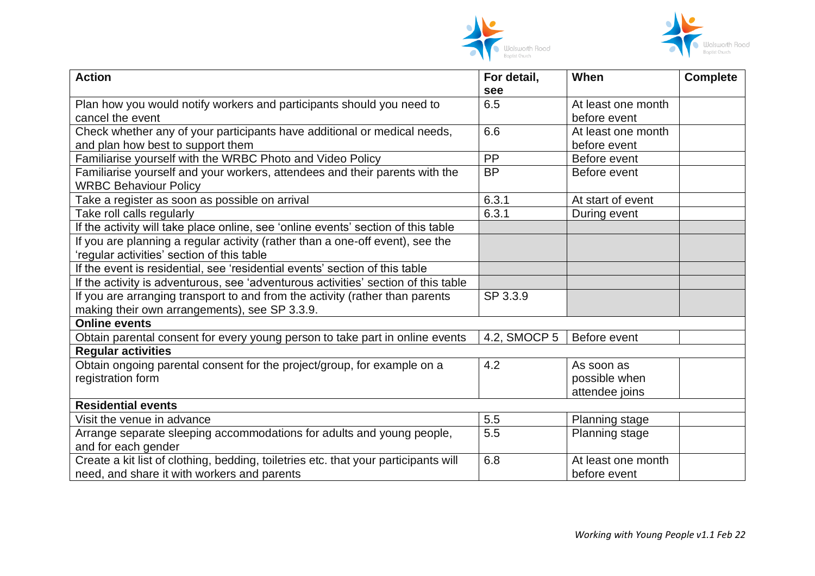



| <b>Action</b>                                                                       | For detail,  | When                  | <b>Complete</b> |
|-------------------------------------------------------------------------------------|--------------|-----------------------|-----------------|
|                                                                                     | see          |                       |                 |
| Plan how you would notify workers and participants should you need to               | 6.5          | At least one month    |                 |
| cancel the event                                                                    |              | before event          |                 |
| Check whether any of your participants have additional or medical needs,            | 6.6          | At least one month    |                 |
| and plan how best to support them                                                   |              | before event          |                 |
| Familiarise yourself with the WRBC Photo and Video Policy                           | PP           | Before event          |                 |
| Familiarise yourself and your workers, attendees and their parents with the         | <b>BP</b>    | Before event          |                 |
| <b>WRBC Behaviour Policy</b>                                                        |              |                       |                 |
| Take a register as soon as possible on arrival                                      | 6.3.1        | At start of event     |                 |
| Take roll calls regularly                                                           | 6.3.1        | During event          |                 |
| If the activity will take place online, see 'online events' section of this table   |              |                       |                 |
| If you are planning a regular activity (rather than a one-off event), see the       |              |                       |                 |
| 'regular activities' section of this table                                          |              |                       |                 |
| If the event is residential, see 'residential events' section of this table         |              |                       |                 |
| If the activity is adventurous, see 'adventurous activities' section of this table  |              |                       |                 |
| If you are arranging transport to and from the activity (rather than parents        | SP 3.3.9     |                       |                 |
| making their own arrangements), see SP 3.3.9.                                       |              |                       |                 |
| <b>Online events</b>                                                                |              |                       |                 |
| Obtain parental consent for every young person to take part in online events        | 4.2, SMOCP 5 | Before event          |                 |
| <b>Regular activities</b>                                                           |              |                       |                 |
| Obtain ongoing parental consent for the project/group, for example on a             | 4.2          | As soon as            |                 |
| registration form                                                                   |              | possible when         |                 |
|                                                                                     |              | attendee joins        |                 |
| <b>Residential events</b>                                                           |              |                       |                 |
| Visit the venue in advance                                                          | 5.5          | Planning stage        |                 |
| Arrange separate sleeping accommodations for adults and young people,               | 5.5          | <b>Planning stage</b> |                 |
| and for each gender                                                                 |              |                       |                 |
| Create a kit list of clothing, bedding, toiletries etc. that your participants will | 6.8          | At least one month    |                 |
| need, and share it with workers and parents                                         |              | before event          |                 |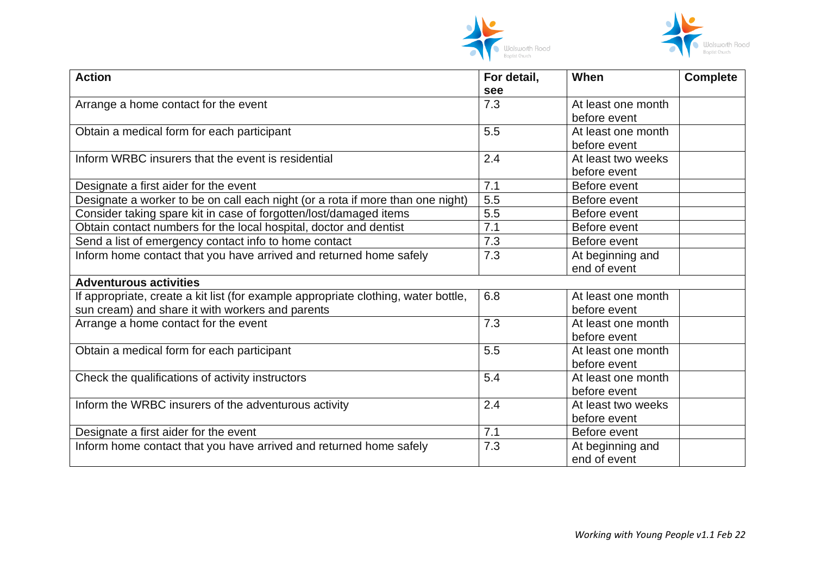



| <b>Action</b>                                                                      | For detail, | When               | <b>Complete</b> |
|------------------------------------------------------------------------------------|-------------|--------------------|-----------------|
|                                                                                    | see         |                    |                 |
| Arrange a home contact for the event                                               | 7.3         | At least one month |                 |
|                                                                                    |             | before event       |                 |
| Obtain a medical form for each participant                                         | 5.5         | At least one month |                 |
|                                                                                    |             | before event       |                 |
| Inform WRBC insurers that the event is residential                                 | 2.4         | At least two weeks |                 |
|                                                                                    |             | before event       |                 |
| Designate a first aider for the event                                              | 7.1         | Before event       |                 |
| Designate a worker to be on call each night (or a rota if more than one night)     | 5.5         | Before event       |                 |
| Consider taking spare kit in case of forgotten/lost/damaged items                  | 5.5         | Before event       |                 |
| Obtain contact numbers for the local hospital, doctor and dentist                  | 7.1         | Before event       |                 |
| Send a list of emergency contact info to home contact                              | 7.3         | Before event       |                 |
| Inform home contact that you have arrived and returned home safely                 | 7.3         | At beginning and   |                 |
|                                                                                    |             | end of event       |                 |
| <b>Adventurous activities</b>                                                      |             |                    |                 |
| If appropriate, create a kit list (for example appropriate clothing, water bottle, | 6.8         | At least one month |                 |
| sun cream) and share it with workers and parents                                   |             | before event       |                 |
| Arrange a home contact for the event                                               | 7.3         | At least one month |                 |
|                                                                                    |             | before event       |                 |
| Obtain a medical form for each participant                                         | 5.5         | At least one month |                 |
|                                                                                    |             | before event       |                 |
| Check the qualifications of activity instructors                                   | 5.4         | At least one month |                 |
|                                                                                    |             | before event       |                 |
| Inform the WRBC insurers of the adventurous activity                               | 2.4         | At least two weeks |                 |
|                                                                                    |             | before event       |                 |
| Designate a first aider for the event                                              | 7.1         | Before event       |                 |
| Inform home contact that you have arrived and returned home safely                 | 7.3         | At beginning and   |                 |
|                                                                                    |             | end of event       |                 |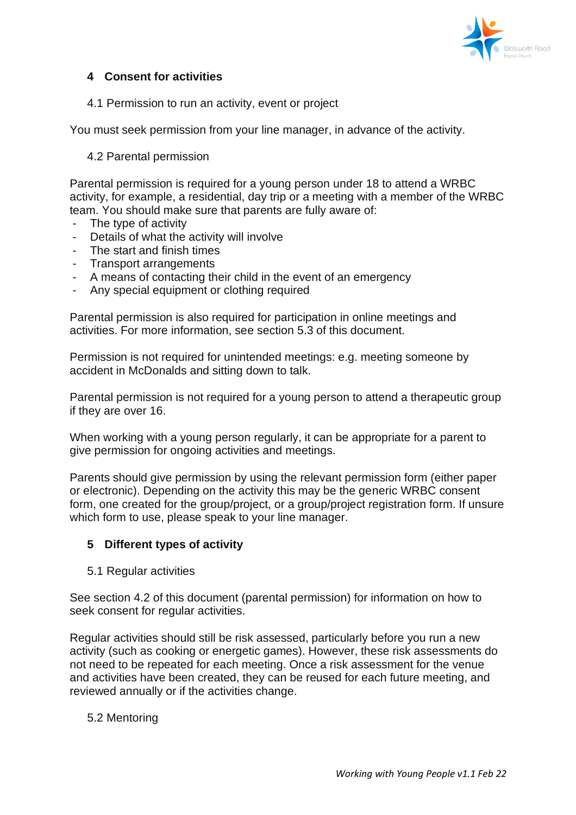

# **4 Consent for activities**

4.1 Permission to run an activity, event or project

You must seek permission from your line manager, in advance of the activity.

## 4.2 Parental permission

Parental permission is required for a young person under 18 to attend a WRBC activity, for example, a residential, day trip or a meeting with a member of the WRBC team. You should make sure that parents are fully aware of:

- The type of activity
- Details of what the activity will involve
- The start and finish times
- Transport arrangements
- A means of contacting their child in the event of an emergency
- Any special equipment or clothing required

Parental permission is also required for participation in online meetings and activities. For more information, see section 5.3 of this document.

Permission is not required for unintended meetings: e.g. meeting someone by accident in McDonalds and sitting down to talk.

Parental permission is not required for a young person to attend a therapeutic group if they are over 16.

When working with a young person regularly, it can be appropriate for a parent to give permission for ongoing activities and meetings.

Parents should give permission by using the relevant permission form (either paper or electronic). Depending on the activity this may be the generic WRBC consent form, one created for the group/project, or a group/project registration form. If unsure which form to use, please speak to your line manager.

#### **5 Different types of activity**

5.1 Regular activities

See section 4.2 of this document (parental permission) for information on how to seek consent for regular activities.

Regular activities should still be risk assessed, particularly before you run a new activity (such as cooking or energetic games). However, these risk assessments do not need to be repeated for each meeting. Once a risk assessment for the venue and activities have been created, they can be reused for each future meeting, and reviewed annually or if the activities change.

#### 5.2 Mentoring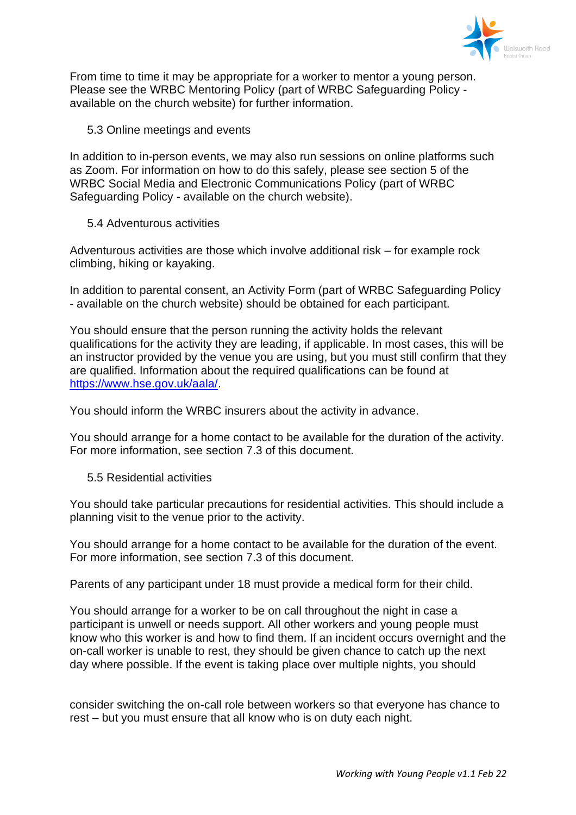

From time to time it may be appropriate for a worker to mentor a young person. Please see the WRBC Mentoring Policy (part of WRBC Safeguarding Policy available on the church website) for further information.

5.3 Online meetings and events

In addition to in-person events, we may also run sessions on online platforms such as Zoom. For information on how to do this safely, please see section 5 of the WRBC Social Media and Electronic Communications Policy (part of WRBC Safeguarding Policy - available on the church website).

5.4 Adventurous activities

Adventurous activities are those which involve additional risk – for example rock climbing, hiking or kayaking.

In addition to parental consent, an Activity Form (part of WRBC Safeguarding Policy - available on the church website) should be obtained for each participant.

You should ensure that the person running the activity holds the relevant qualifications for the activity they are leading, if applicable. In most cases, this will be an instructor provided by the venue you are using, but you must still confirm that they are qualified. Information about the required qualifications can be found at [https://www.hse.gov.uk/aala/.](https://www.hse.gov.uk/aala/)

You should inform the WRBC insurers about the activity in advance.

You should arrange for a home contact to be available for the duration of the activity. For more information, see section 7.3 of this document.

5.5 Residential activities

You should take particular precautions for residential activities. This should include a planning visit to the venue prior to the activity.

You should arrange for a home contact to be available for the duration of the event. For more information, see section 7.3 of this document.

Parents of any participant under 18 must provide a medical form for their child.

You should arrange for a worker to be on call throughout the night in case a participant is unwell or needs support. All other workers and young people must know who this worker is and how to find them. If an incident occurs overnight and the on-call worker is unable to rest, they should be given chance to catch up the next day where possible. If the event is taking place over multiple nights, you should

consider switching the on-call role between workers so that everyone has chance to rest – but you must ensure that all know who is on duty each night.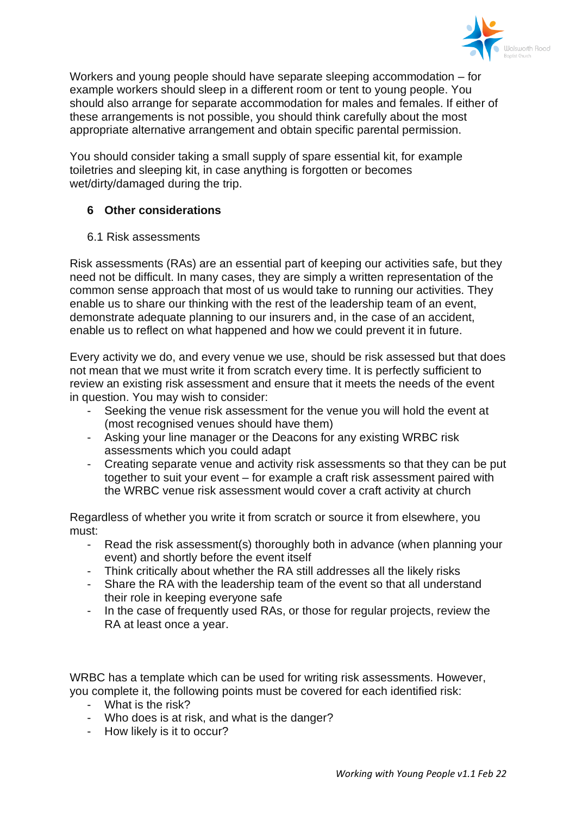

Workers and young people should have separate sleeping accommodation – for example workers should sleep in a different room or tent to young people. You should also arrange for separate accommodation for males and females. If either of these arrangements is not possible, you should think carefully about the most appropriate alternative arrangement and obtain specific parental permission.

You should consider taking a small supply of spare essential kit, for example toiletries and sleeping kit, in case anything is forgotten or becomes wet/dirty/damaged during the trip.

# **6 Other considerations**

6.1 Risk assessments

Risk assessments (RAs) are an essential part of keeping our activities safe, but they need not be difficult. In many cases, they are simply a written representation of the common sense approach that most of us would take to running our activities. They enable us to share our thinking with the rest of the leadership team of an event, demonstrate adequate planning to our insurers and, in the case of an accident, enable us to reflect on what happened and how we could prevent it in future.

Every activity we do, and every venue we use, should be risk assessed but that does not mean that we must write it from scratch every time. It is perfectly sufficient to review an existing risk assessment and ensure that it meets the needs of the event in question. You may wish to consider:

- Seeking the venue risk assessment for the venue you will hold the event at (most recognised venues should have them)
- Asking your line manager or the Deacons for any existing WRBC risk assessments which you could adapt
- Creating separate venue and activity risk assessments so that they can be put together to suit your event – for example a craft risk assessment paired with the WRBC venue risk assessment would cover a craft activity at church

Regardless of whether you write it from scratch or source it from elsewhere, you must:

- Read the risk assessment(s) thoroughly both in advance (when planning your event) and shortly before the event itself
- Think critically about whether the RA still addresses all the likely risks
- Share the RA with the leadership team of the event so that all understand their role in keeping everyone safe
- In the case of frequently used RAs, or those for regular projects, review the RA at least once a year.

WRBC has a template which can be used for writing risk assessments. However, you complete it, the following points must be covered for each identified risk:

- What is the risk?
- Who does is at risk, and what is the danger?
- How likely is it to occur?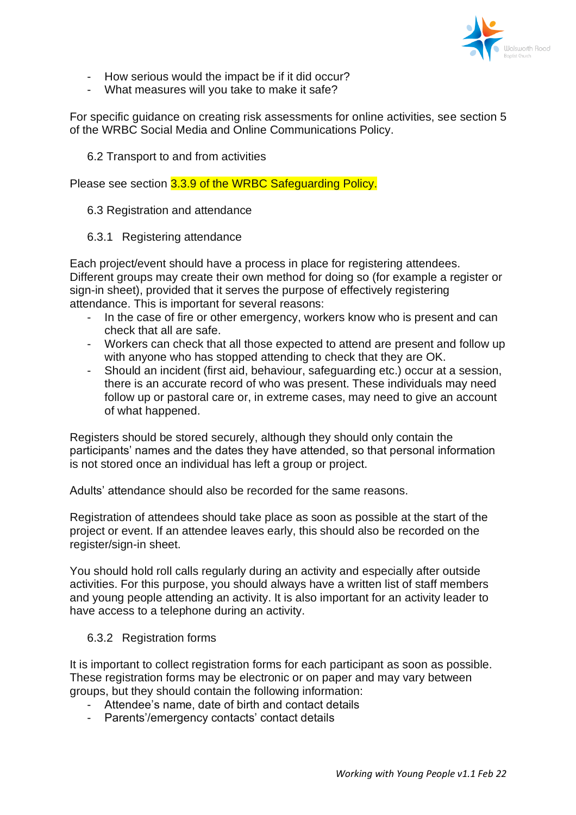

- How serious would the impact be if it did occur?
- What measures will you take to make it safe?

For specific guidance on creating risk assessments for online activities, see section 5 of the WRBC Social Media and Online Communications Policy.

6.2 Transport to and from activities

Please see section 3.3.9 of the WRBC Safeguarding Policy.

6.3 Registration and attendance

6.3.1 Registering attendance

Each project/event should have a process in place for registering attendees. Different groups may create their own method for doing so (for example a register or sign-in sheet), provided that it serves the purpose of effectively registering attendance. This is important for several reasons:

- In the case of fire or other emergency, workers know who is present and can check that all are safe.
- Workers can check that all those expected to attend are present and follow up with anyone who has stopped attending to check that they are OK.
- Should an incident (first aid, behaviour, safeguarding etc.) occur at a session, there is an accurate record of who was present. These individuals may need follow up or pastoral care or, in extreme cases, may need to give an account of what happened.

Registers should be stored securely, although they should only contain the participants' names and the dates they have attended, so that personal information is not stored once an individual has left a group or project.

Adults' attendance should also be recorded for the same reasons.

Registration of attendees should take place as soon as possible at the start of the project or event. If an attendee leaves early, this should also be recorded on the register/sign-in sheet.

You should hold roll calls regularly during an activity and especially after outside activities. For this purpose, you should always have a written list of staff members and young people attending an activity. It is also important for an activity leader to have access to a telephone during an activity.

# 6.3.2 Registration forms

It is important to collect registration forms for each participant as soon as possible. These registration forms may be electronic or on paper and may vary between groups, but they should contain the following information:

- Attendee's name, date of birth and contact details
- Parents'/emergency contacts' contact details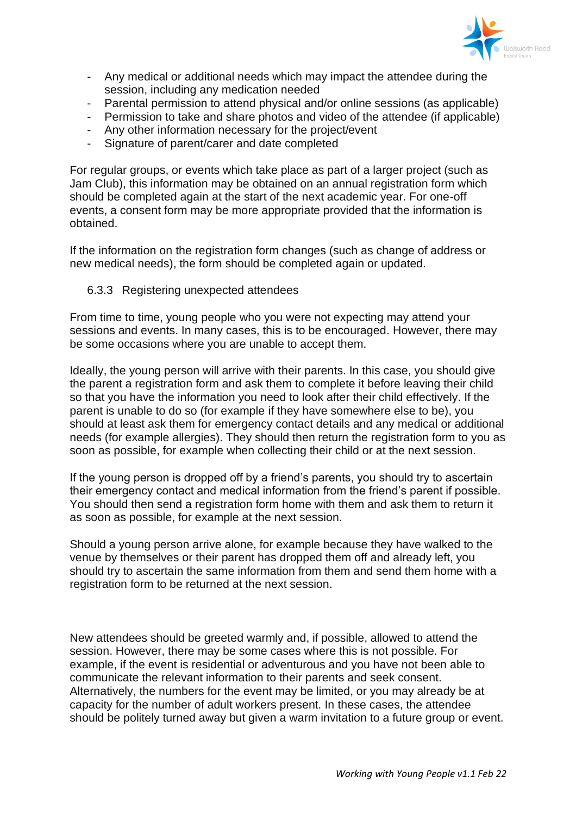

- Any medical or additional needs which may impact the attendee during the session, including any medication needed
- Parental permission to attend physical and/or online sessions (as applicable)
- Permission to take and share photos and video of the attendee (if applicable)
- Any other information necessary for the project/event
- Signature of parent/carer and date completed

For regular groups, or events which take place as part of a larger project (such as Jam Club), this information may be obtained on an annual registration form which should be completed again at the start of the next academic year. For one-off events, a consent form may be more appropriate provided that the information is obtained.

If the information on the registration form changes (such as change of address or new medical needs), the form should be completed again or updated.

### 6.3.3 Registering unexpected attendees

From time to time, young people who you were not expecting may attend your sessions and events. In many cases, this is to be encouraged. However, there may be some occasions where you are unable to accept them.

Ideally, the young person will arrive with their parents. In this case, you should give the parent a registration form and ask them to complete it before leaving their child so that you have the information you need to look after their child effectively. If the parent is unable to do so (for example if they have somewhere else to be), you should at least ask them for emergency contact details and any medical or additional needs (for example allergies). They should then return the registration form to you as soon as possible, for example when collecting their child or at the next session.

If the young person is dropped off by a friend's parents, you should try to ascertain their emergency contact and medical information from the friend's parent if possible. You should then send a registration form home with them and ask them to return it as soon as possible, for example at the next session.

Should a young person arrive alone, for example because they have walked to the venue by themselves or their parent has dropped them off and already left, you should try to ascertain the same information from them and send them home with a registration form to be returned at the next session.

New attendees should be greeted warmly and, if possible, allowed to attend the session. However, there may be some cases where this is not possible. For example, if the event is residential or adventurous and you have not been able to communicate the relevant information to their parents and seek consent. Alternatively, the numbers for the event may be limited, or you may already be at capacity for the number of adult workers present. In these cases, the attendee should be politely turned away but given a warm invitation to a future group or event.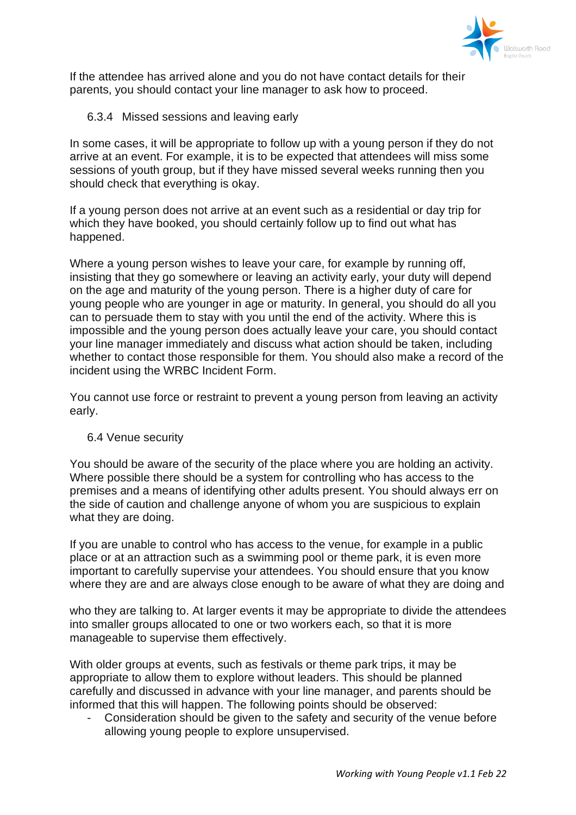

If the attendee has arrived alone and you do not have contact details for their parents, you should contact your line manager to ask how to proceed.

6.3.4 Missed sessions and leaving early

In some cases, it will be appropriate to follow up with a young person if they do not arrive at an event. For example, it is to be expected that attendees will miss some sessions of youth group, but if they have missed several weeks running then you should check that everything is okay.

If a young person does not arrive at an event such as a residential or day trip for which they have booked, you should certainly follow up to find out what has happened.

Where a young person wishes to leave your care, for example by running off, insisting that they go somewhere or leaving an activity early, your duty will depend on the age and maturity of the young person. There is a higher duty of care for young people who are younger in age or maturity. In general, you should do all you can to persuade them to stay with you until the end of the activity. Where this is impossible and the young person does actually leave your care, you should contact your line manager immediately and discuss what action should be taken, including whether to contact those responsible for them. You should also make a record of the incident using the WRBC Incident Form.

You cannot use force or restraint to prevent a young person from leaving an activity early.

# 6.4 Venue security

You should be aware of the security of the place where you are holding an activity. Where possible there should be a system for controlling who has access to the premises and a means of identifying other adults present. You should always err on the side of caution and challenge anyone of whom you are suspicious to explain what they are doing.

If you are unable to control who has access to the venue, for example in a public place or at an attraction such as a swimming pool or theme park, it is even more important to carefully supervise your attendees. You should ensure that you know where they are and are always close enough to be aware of what they are doing and

who they are talking to. At larger events it may be appropriate to divide the attendees into smaller groups allocated to one or two workers each, so that it is more manageable to supervise them effectively.

With older groups at events, such as festivals or theme park trips, it may be appropriate to allow them to explore without leaders. This should be planned carefully and discussed in advance with your line manager, and parents should be informed that this will happen. The following points should be observed:

Consideration should be given to the safety and security of the venue before allowing young people to explore unsupervised.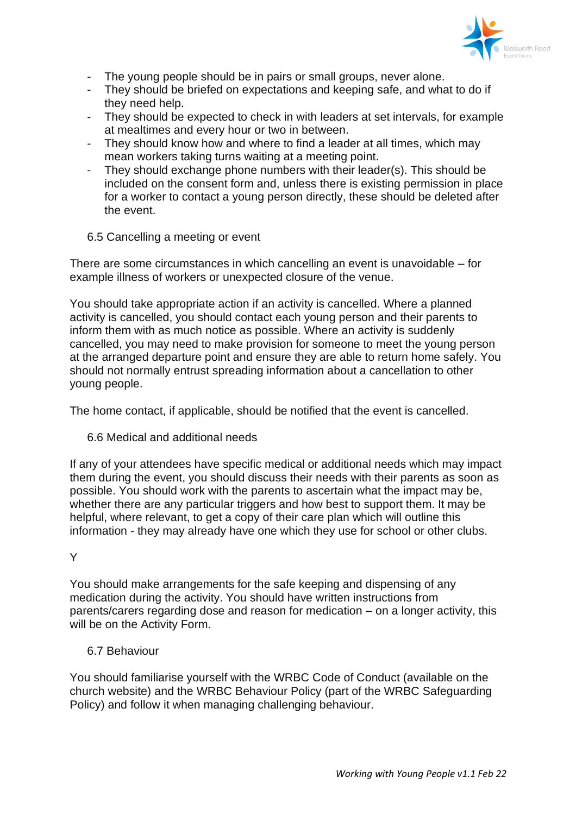

- The young people should be in pairs or small groups, never alone.
- They should be briefed on expectations and keeping safe, and what to do if they need help.
- They should be expected to check in with leaders at set intervals, for example at mealtimes and every hour or two in between.
- They should know how and where to find a leader at all times, which may mean workers taking turns waiting at a meeting point.
- They should exchange phone numbers with their leader(s). This should be included on the consent form and, unless there is existing permission in place for a worker to contact a young person directly, these should be deleted after the event.
- 6.5 Cancelling a meeting or event

There are some circumstances in which cancelling an event is unavoidable – for example illness of workers or unexpected closure of the venue.

You should take appropriate action if an activity is cancelled. Where a planned activity is cancelled, you should contact each young person and their parents to inform them with as much notice as possible. Where an activity is suddenly cancelled, you may need to make provision for someone to meet the young person at the arranged departure point and ensure they are able to return home safely. You should not normally entrust spreading information about a cancellation to other young people.

The home contact, if applicable, should be notified that the event is cancelled.

6.6 Medical and additional needs

If any of your attendees have specific medical or additional needs which may impact them during the event, you should discuss their needs with their parents as soon as possible. You should work with the parents to ascertain what the impact may be, whether there are any particular triggers and how best to support them. It may be helpful, where relevant, to get a copy of their care plan which will outline this information - they may already have one which they use for school or other clubs.

#### Y

You should make arrangements for the safe keeping and dispensing of any medication during the activity. You should have written instructions from parents/carers regarding dose and reason for medication – on a longer activity, this will be on the Activity Form.

### 6.7 Behaviour

You should familiarise yourself with the WRBC Code of Conduct (available on the church website) and the WRBC Behaviour Policy (part of the WRBC Safeguarding Policy) and follow it when managing challenging behaviour.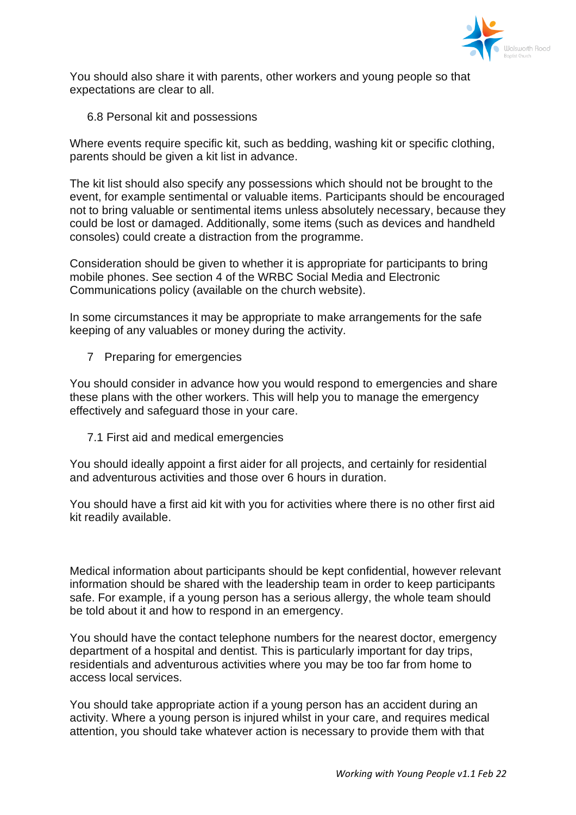

You should also share it with parents, other workers and young people so that expectations are clear to all.

6.8 Personal kit and possessions

Where events require specific kit, such as bedding, washing kit or specific clothing, parents should be given a kit list in advance.

The kit list should also specify any possessions which should not be brought to the event, for example sentimental or valuable items. Participants should be encouraged not to bring valuable or sentimental items unless absolutely necessary, because they could be lost or damaged. Additionally, some items (such as devices and handheld consoles) could create a distraction from the programme.

Consideration should be given to whether it is appropriate for participants to bring mobile phones. See section 4 of the WRBC Social Media and Electronic Communications policy (available on the church website).

In some circumstances it may be appropriate to make arrangements for the safe keeping of any valuables or money during the activity.

7 Preparing for emergencies

You should consider in advance how you would respond to emergencies and share these plans with the other workers. This will help you to manage the emergency effectively and safeguard those in your care.

7.1 First aid and medical emergencies

You should ideally appoint a first aider for all projects, and certainly for residential and adventurous activities and those over 6 hours in duration.

You should have a first aid kit with you for activities where there is no other first aid kit readily available.

Medical information about participants should be kept confidential, however relevant information should be shared with the leadership team in order to keep participants safe. For example, if a young person has a serious allergy, the whole team should be told about it and how to respond in an emergency.

You should have the contact telephone numbers for the nearest doctor, emergency department of a hospital and dentist. This is particularly important for day trips, residentials and adventurous activities where you may be too far from home to access local services.

You should take appropriate action if a young person has an accident during an activity. Where a young person is injured whilst in your care, and requires medical attention, you should take whatever action is necessary to provide them with that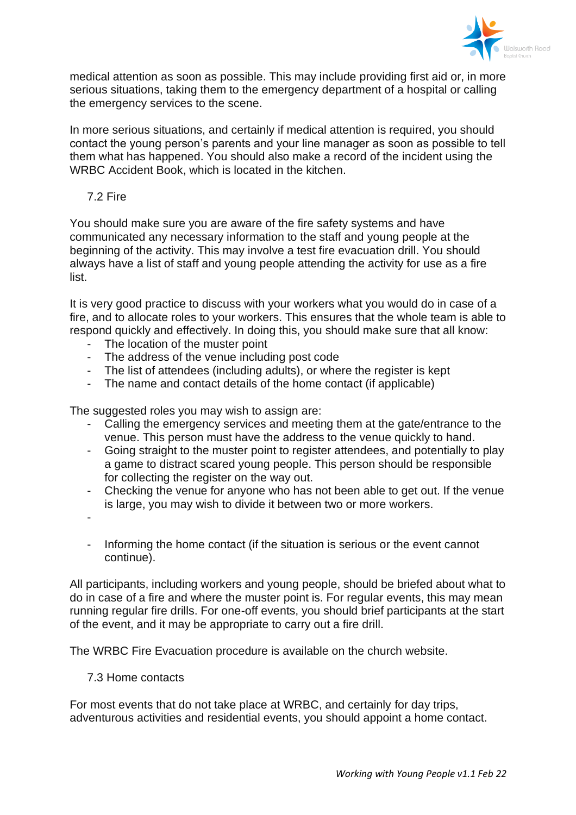

medical attention as soon as possible. This may include providing first aid or, in more serious situations, taking them to the emergency department of a hospital or calling the emergency services to the scene.

In more serious situations, and certainly if medical attention is required, you should contact the young person's parents and your line manager as soon as possible to tell them what has happened. You should also make a record of the incident using the WRBC Accident Book, which is located in the kitchen.

7.2 Fire

You should make sure you are aware of the fire safety systems and have communicated any necessary information to the staff and young people at the beginning of the activity. This may involve a test fire evacuation drill. You should always have a list of staff and young people attending the activity for use as a fire list.

It is very good practice to discuss with your workers what you would do in case of a fire, and to allocate roles to your workers. This ensures that the whole team is able to respond quickly and effectively. In doing this, you should make sure that all know:

- The location of the muster point
- The address of the venue including post code
- The list of attendees (including adults), or where the register is kept
- The name and contact details of the home contact (if applicable)

The suggested roles you may wish to assign are:

- Calling the emergency services and meeting them at the gate/entrance to the venue. This person must have the address to the venue quickly to hand.
- Going straight to the muster point to register attendees, and potentially to play a game to distract scared young people. This person should be responsible for collecting the register on the way out.
- Checking the venue for anyone who has not been able to get out. If the venue is large, you may wish to divide it between two or more workers.

-

- Informing the home contact (if the situation is serious or the event cannot continue).

All participants, including workers and young people, should be briefed about what to do in case of a fire and where the muster point is. For regular events, this may mean running regular fire drills. For one-off events, you should brief participants at the start of the event, and it may be appropriate to carry out a fire drill.

The WRBC Fire Evacuation procedure is available on the church website.

7.3 Home contacts

For most events that do not take place at WRBC, and certainly for day trips, adventurous activities and residential events, you should appoint a home contact.